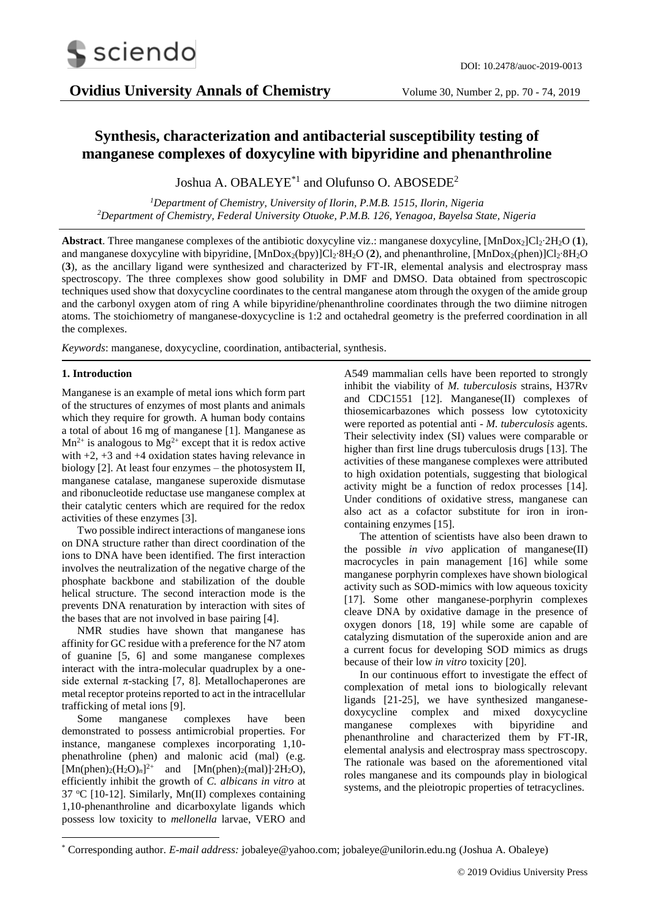

# **Synthesis, characterization and antibacterial susceptibility testing of manganese complexes of doxycyline with bipyridine and phenanthroline**

Joshua A.  $OBALEYE^{\ast 1}$  and Olufunso O.  $ABOSEDE^2$ 

*<sup>1</sup>Department of Chemistry, University of Ilorin, P.M.B. 1515, Ilorin, Nigeria <sup>2</sup>Department of Chemistry, Federal University Otuoke, P.M.B. 126, Yenagoa, Bayelsa State, Nigeria*

**Abstract**. Three manganese complexes of the antibiotic doxycyline viz.: manganese doxycyline, [MnDox2]Cl2‧2H2O (**1**), and manganese doxycyline with bipyridine,  $[MnDox_2(bpy)]Cl_2·8H_2O (2)$ , and phenanthroline,  $[MnDox_2(phen)]Cl_2·8H_2O$ (**3**), as the ancillary ligand were synthesized and characterized by FT-IR, elemental analysis and electrospray mass spectroscopy. The three complexes show good solubility in DMF and DMSO. Data obtained from spectroscopic techniques used show that doxycycline coordinates to the central manganese atom through the oxygen of the amide group and the carbonyl oxygen atom of ring A while bipyridine/phenanthroline coordinates through the two diimine nitrogen atoms. The stoichiometry of manganese-doxycycline is 1:2 and octahedral geometry is the preferred coordination in all the complexes.

*Keywords*: manganese, doxycycline, coordination, antibacterial, synthesis.

## **1. Introduction**

-

Manganese is an example of metal ions which form part of the structures of enzymes of most plants and animals which they require for growth. A human body contains a total of about 16 mg of manganese [1]. Manganese as  $Mn^{2+}$  is analogous to  $Mg^{2+}$  except that it is redox active with  $+2$ ,  $+3$  and  $+4$  oxidation states having relevance in biology [2]. At least four enzymes – the photosystem II, manganese catalase, manganese superoxide dismutase and ribonucleotide reductase use manganese complex at their catalytic centers which are required for the redox activities of these enzymes [3].

Two possible indirect interactions of manganese ions on DNA structure rather than direct coordination of the ions to DNA have been identified. The first interaction involves the neutralization of the negative charge of the phosphate backbone and stabilization of the double helical structure. The second interaction mode is the prevents DNA renaturation by interaction with sites of the bases that are not involved in base pairing [4].

NMR studies have shown that manganese has affinity for GC residue with a preference for the N7 atom of guanine [5, 6] and some manganese complexes interact with the intra-molecular quadruplex by a oneside external  $\pi$ -stacking [7, 8]. Metallochaperones are metal receptor proteins reported to act in the intracellular trafficking of metal ions [9].

Some manganese complexes have been demonstrated to possess antimicrobial properties. For instance, manganese complexes incorporating 1,10 phenathroline (phen) and malonic acid (mal) (e.g.  $[{\rm Mn}(phen)_2(H_2O)_n]^{2+}$  and  $[{\rm Mn}(phen)_2(mal)]^2(H_2O)$ , efficiently inhibit the growth of *C. albicans in vitro* at 37 °C [10-12]. Similarly,  $Mn(II)$  complexes containing 1,10-phenanthroline and dicarboxylate ligands which possess low toxicity to *mellonella* larvae, VERO and

A549 mammalian cells have been reported to strongly inhibit the viability of *M. tuberculosis* strains, H37Rv and CDC1551 [12]. Manganese(II) complexes of thiosemicarbazones which possess low cytotoxicity were reported as potential anti - *M. tuberculosis* agents. Their selectivity index (SI) values were comparable or higher than first line drugs tuberculosis drugs [13]. The activities of these manganese complexes were attributed to high oxidation potentials, suggesting that biological activity might be a function of redox processes [14]. Under conditions of oxidative stress, manganese can also act as a cofactor substitute for iron in ironcontaining enzymes [15].

The attention of scientists have also been drawn to the possible *in vivo* application of manganese(II) macrocycles in pain management [16] while some manganese porphyrin complexes have shown biological activity such as SOD-mimics with low aqueous toxicity [17]. Some other manganese-porphyrin complexes cleave DNA by oxidative damage in the presence of oxygen donors [18, 19] while some are capable of catalyzing dismutation of the superoxide anion and are a current focus for developing SOD mimics as drugs because of their low *in vitro* toxicity [20].

In our continuous effort to investigate the effect of complexation of metal ions to biologically relevant ligands [21-25], we have synthesized manganesedoxycycline complex and mixed doxycycline manganese complexes with bipyridine phenanthroline and characterized them by FT-IR, elemental analysis and electrospray mass spectroscopy. The rationale was based on the aforementioned vital roles manganese and its compounds play in biological systems, and the pleiotropic properties of tetracyclines.

<sup>\*</sup> Corresponding author. *E-mail address:* jobaleye@yahoo.com; jobaleye@unilorin.edu.ng (Joshua A. Obaleye)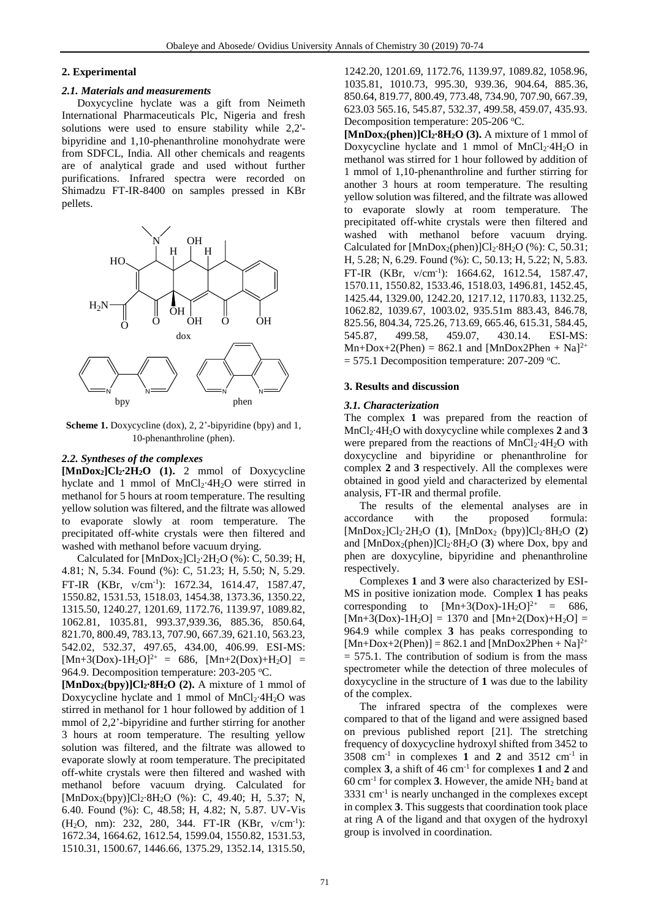## **2. Experimental**

#### *2.1. Materials and measurements*

Doxycycline hyclate was a gift from Neimeth International Pharmaceuticals Plc, Nigeria and fresh solutions were used to ensure stability while 2,2' bipyridine and 1,10-phenanthroline monohydrate were from SDFCL, India. All other chemicals and reagents are of analytical grade and used without further purifications. Infrared spectra were recorded on Shimadzu FT-IR-8400 on samples pressed in KBr pellets.



**Scheme 1.** Doxycycline (dox), 2, 2'-bipyridine (bpy) and 1, 10-phenanthroline (phen).

## *2.2. Syntheses of the complexes*

**[MnDox2]Cl2‧2H2O (1).** 2 mmol of Doxycycline hyclate and 1 mmol of MnCl<sub>2</sub>·4H<sub>2</sub>O were stirred in methanol for 5 hours at room temperature. The resulting yellow solution was filtered, and the filtrate was allowed to evaporate slowly at room temperature. The precipitated off-white crystals were then filtered and washed with methanol before vacuum drying.

Calculated for  $[MnDox<sub>2</sub>]Cl<sub>2</sub>·2H<sub>2</sub>O$  (%): C, 50.39; H, 4.81; N, 5.34. Found (%): C, 51.23; H, 5.50; N, 5.29. FT-IR (KBr, v/cm<sup>-1</sup>): 1672.34, 1614.47, 1587.47, 1550.82, 1531.53, 1518.03, 1454.38, 1373.36, 1350.22, 1315.50, 1240.27, 1201.69, 1172.76, 1139.97, 1089.82, 1062.81, 1035.81, 993.37,939.36, 885.36, 850.64, 821.70, 800.49, 783.13, 707.90, 667.39, 621.10, 563.23, 542.02, 532.37, 497.65, 434.00, 406.99. ESI-MS:  $[Mn+3(Dox)-1H_2O]^{2+} = 686$ ,  $[Mn+2(Dox)+H_2O] =$ 964.9. Decomposition temperature: 203-205 °C.

**[MnDox2(bpy)]Cl2‧8H2O (2).** A mixture of 1 mmol of Doxycycline hyclate and 1 mmol of  $MnCl<sub>2</sub>·4H<sub>2</sub>O$  was stirred in methanol for 1 hour followed by addition of 1 mmol of 2,2'-bipyridine and further stirring for another 3 hours at room temperature. The resulting yellow solution was filtered, and the filtrate was allowed to evaporate slowly at room temperature. The precipitated off-white crystals were then filtered and washed with methanol before vacuum drying. Calculated for  $[MnDox<sub>2</sub>(bpy)]Cl<sub>2</sub>·8H<sub>2</sub>O$  (%): C, 49.40; H, 5.37; N, 6.40. Found (%): C, 48.58; H, 4.82; N, 5.87. UV-Vis  $(H_2O, nm)$ : 232, 280, 344. FT-IR (KBr,  $v/cm^{-1}$ ): 1672.34, 1664.62, 1612.54, 1599.04, 1550.82, 1531.53, 1510.31, 1500.67, 1446.66, 1375.29, 1352.14, 1315.50,

1242.20, 1201.69, 1172.76, 1139.97, 1089.82, 1058.96, 1035.81, 1010.73, 995.30, 939.36, 904.64, 885.36, 850.64, 819.77, 800.49, 773.48, 734.90, 707.90, 667.39, 623.03 565.16, 545.87, 532.37, 499.58, 459.07, 435.93. Decomposition temperature: 205-206 °C.

**[MnDox2(phen)]Cl2‧8H2O (3).** A mixture of 1 mmol of Doxycycline hyclate and 1 mmol of  $MnCl<sub>2</sub>·4H<sub>2</sub>O$  in methanol was stirred for 1 hour followed by addition of 1 mmol of 1,10-phenanthroline and further stirring for another 3 hours at room temperature. The resulting yellow solution was filtered, and the filtrate was allowed to evaporate slowly at room temperature. The precipitated off-white crystals were then filtered and washed with methanol before vacuum drying. Calculated for  $[MnDox<sub>2</sub>(phen)]Cl<sub>2</sub>·8H<sub>2</sub>O (%): C, 50.31;$ H, 5.28; N, 6.29. Found (%): C, 50.13; H, 5.22; N, 5.83. FT-IR (KBr, v/cm<sup>-1</sup>): 1664.62, 1612.54, 1587.47, 1570.11, 1550.82, 1533.46, 1518.03, 1496.81, 1452.45, 1425.44, 1329.00, 1242.20, 1217.12, 1170.83, 1132.25, 1062.82, 1039.67, 1003.02, 935.51m 883.43, 846.78, 825.56, 804.34, 725.26, 713.69, 665.46, 615.31, 584.45, 545.87, 499.58, 459.07, 430.14. ESI-MS:  $Mn+Dox+2(Phen) = 862.1$  and  $[MnDox2Phen + Na]^{2+}$  $= 575.1$  Decomposition temperature: 207-209 °C.

### **3. Results and discussion**

#### *3.1. Characterization*

The complex **1** was prepared from the reaction of MnCl2‧4H2O with doxycycline while complexes **2** and **3** were prepared from the reactions of MnCl<sub>2</sub>·4H<sub>2</sub>O with doxycycline and bipyridine or phenanthroline for complex **2** and **3** respectively. All the complexes were obtained in good yield and characterized by elemental analysis, FT-IR and thermal profile.

The results of the elemental analyses are in accordance with the proposed formula: proposed formula:  $[MnDox<sub>2</sub>]Cl<sub>2</sub>·2H<sub>2</sub>O (1), [MnDox<sub>2</sub> (bpy)]Cl<sub>2</sub>·8H<sub>2</sub>O (2)$ and  $[MnDox_2(phen)]Cl_2·8H_2O$  (3) where Dox, bpy and phen are doxycyline, bipyridine and phenanthroline respectively.

Complexes **1** and **3** were also characterized by ESI-MS in positive ionization mode. Complex **1** has peaks corresponding to  $[Mn+3(Dox)-1H_2O]^{2+} = 686$ ,  $[Mn+3(Dox)-1H_2O] = 1370$  and  $[Mn+2(Dox)+H_2O] =$ 964.9 while complex **3** has peaks corresponding to  $[Mn+Dox+2(Phen)] = 862.1$  and  $[MnDox2Phen + Na]^{2+}$  $= 575.1$ . The contribution of sodium is from the mass spectrometer while the detection of three molecules of doxycycline in the structure of **1** was due to the lability of the complex.

The infrared spectra of the complexes were compared to that of the ligand and were assigned based on previous published report [21]. The stretching frequency of doxycycline hydroxyl shifted from 3452 to 3508 cm-1 in complexes **1** and **2** and 3512 cm-1 in complex **3**, a shift of 46 cm-1 for complexes **1** and **2** and  $60 \text{ cm}^{-1}$  for complex **3**. However, the amide NH<sub>2</sub> band at 3331 cm-1 is nearly unchanged in the complexes except in complex **3**. This suggests that coordination took place at ring A of the ligand and that oxygen of the hydroxyl group is involved in coordination.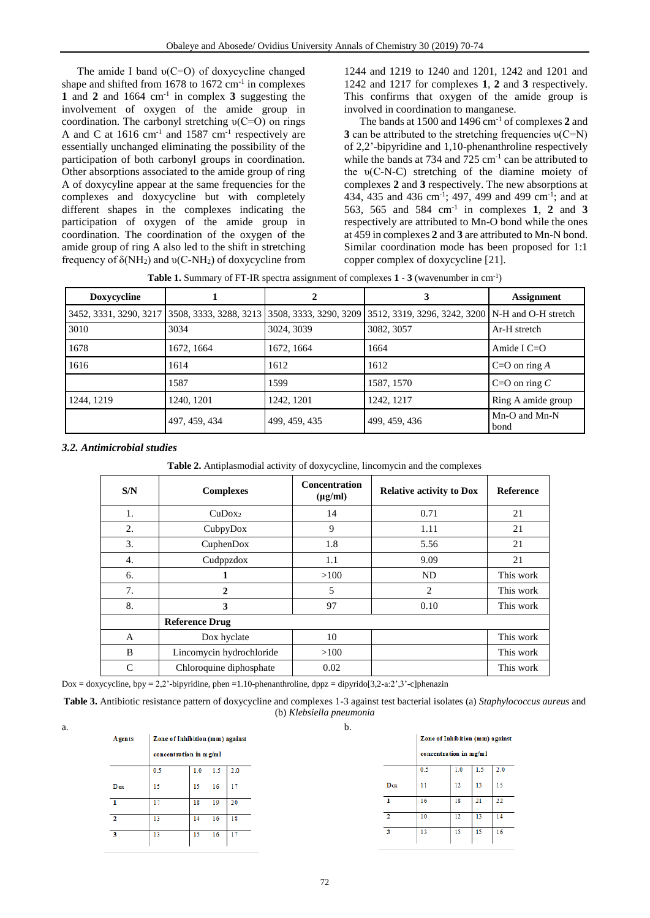The amide I band υ(C=O) of doxycycline changed shape and shifted from  $1678$  to  $1672$  cm<sup>-1</sup> in complexes **1** and **2** and 1664 cm-1 in complex **3** suggesting the involvement of oxygen of the amide group in coordination. The carbonyl stretching  $v(C=O)$  on rings A and C at  $1616 \text{ cm}^{-1}$  and  $1587 \text{ cm}^{-1}$  respectively are essentially unchanged eliminating the possibility of the participation of both carbonyl groups in coordination. Other absorptions associated to the amide group of ring A of doxycyline appear at the same frequencies for the complexes and doxycycline but with completely different shapes in the complexes indicating the participation of oxygen of the amide group in coordination. The coordination of the oxygen of the amide group of ring A also led to the shift in stretching frequency of  $\delta(NH_2)$  and  $\nu(C-NH_2)$  of doxycycline from

1244 and 1219 to 1240 and 1201, 1242 and 1201 and 1242 and 1217 for complexes **1**, **2** and **3** respectively. This confirms that oxygen of the amide group is involved in coordination to manganese.

The bands at 1500 and 1496 cm-1 of complexes **2** and **3** can be attributed to the stretching frequencies υ(C=N) of 2,2'-bipyridine and 1,10-phenanthroline respectively while the bands at 734 and 725  $\text{cm}^{-1}$  can be attributed to the υ(C-N-C) stretching of the diamine moiety of complexes **2** and **3** respectively. The new absorptions at 434, 435 and 436 cm<sup>-1</sup>; 497, 499 and 499 cm<sup>-1</sup>; and at 563, 565 and 584 cm-1 in complexes **1**, **2** and **3** respectively are attributed to Mn-O bond while the ones at 459 in complexes **2** and **3** are attributed to Mn-N bond. Similar coordination mode has been proposed for 1:1 copper complex of doxycycline [21].

**Table 1.** Summary of FT-IR spectra assignment of complexes **1** - **3** (wavenumber in cm-1 )

| Doxycycline            |                        |               |                                                                         | <b>Assignment</b>     |
|------------------------|------------------------|---------------|-------------------------------------------------------------------------|-----------------------|
| 3452, 3331, 3290, 3217 | 3508, 3333, 3288, 3213 |               | 3508, 3333, 3290, 3209 3512, 3319, 3296, 3242, 3200 N-H and O-H stretch |                       |
| 3010                   | 3034                   | 3024, 3039    | 3082, 3057                                                              | Ar-H stretch          |
| 1678                   | 1672, 1664             | 1672, 1664    | 1664                                                                    | Amide I $C=O$         |
| 1616                   | 1614                   | 1612          | 1612                                                                    | $C=O$ on ring A       |
|                        | 1587                   | 1599          | 1587, 1570                                                              | $C=O$ on ring $C$     |
| 1244, 1219             | 1240, 1201             | 1242, 1201    | 1242, 1217                                                              | Ring A amide group    |
|                        | 497, 459, 434          | 499, 459, 435 | 499, 459, 436                                                           | Mn-O and Mn-N<br>bond |

*3.2. Antimicrobial studies*

**Table 2.** Antiplasmodial activity of doxycycline, lincomycin and the complexes

| S/N          | <b>Complexes</b>         | Concentration<br>$(\mu g/ml)$ | <b>Relative activity to Dox</b> | <b>Reference</b> |
|--------------|--------------------------|-------------------------------|---------------------------------|------------------|
| 1.           | CuDox <sub>2</sub>       | 14                            | 0.71                            | 21               |
| 2.           | CubpyDox                 | 9                             | 1.11                            | 21               |
| 3.           | $Cuphen$ Dox             | 1.8                           | 5.56                            | 21               |
| 4.           | Cudppzdox                | 1.1                           | 9.09                            | 21               |
| 6.           |                          | >100                          | ND                              | This work        |
| 7.           | $\mathbf 2$              | 5                             | $\overline{2}$                  | This work        |
| 8.           | 3                        | 97                            | 0.10                            | This work        |
|              | <b>Reference Drug</b>    |                               |                                 |                  |
| $\mathsf{A}$ | Dox hyclate              | 10                            |                                 | This work        |
| B            | Lincomycin hydrochloride | >100                          |                                 | This work        |
| C            | Chloroquine diphosphate  | 0.02                          |                                 | This work        |

Dox = doxycycline, bpy = 2,2'-bipyridine, phen =1.10-phenanthroline, dppz = dipyrido[3,2-a:2',3'-c]phenazin

**Table 3.** Antibiotic resistance pattern of doxycycline and complexes 1-3 against test bacterial isolates (a) *Staphylococcus aureus* and (b) *Klebsiella pneumonia*

| a. |               |                                 |     |     |     |
|----|---------------|---------------------------------|-----|-----|-----|
|    | <b>Agents</b> | Zone of Inhibition (mm) against |     |     |     |
|    |               | concentration in mg/ml          |     |     |     |
|    |               | 0.5                             | 1.0 | 1.5 | 2.0 |
|    | Dox           | 15                              | 15  | 16  | 17  |
|    |               | 17                              | 18  | 19  | 20  |
|    | 2             | 13                              | 14  | 16  | 18  |
|    | 3             | 13                              | 15  | 16  | 17  |
|    |               |                                 |     |     |     |

|     | Zone of Inhibition (mm) against<br>concentration in mg/ml |     |     |     |  |
|-----|-----------------------------------------------------------|-----|-----|-----|--|
|     |                                                           |     |     |     |  |
|     | 0.5                                                       | 1.0 | 1.5 | 2.0 |  |
| Dox | 11                                                        | 12  | 13  | 15  |  |
| ı   | 16                                                        | 18  | 21  | 22  |  |
| 2   | 10                                                        | 12  | 13  | 14  |  |
| 3   | 13                                                        | 15  | 15  | 16  |  |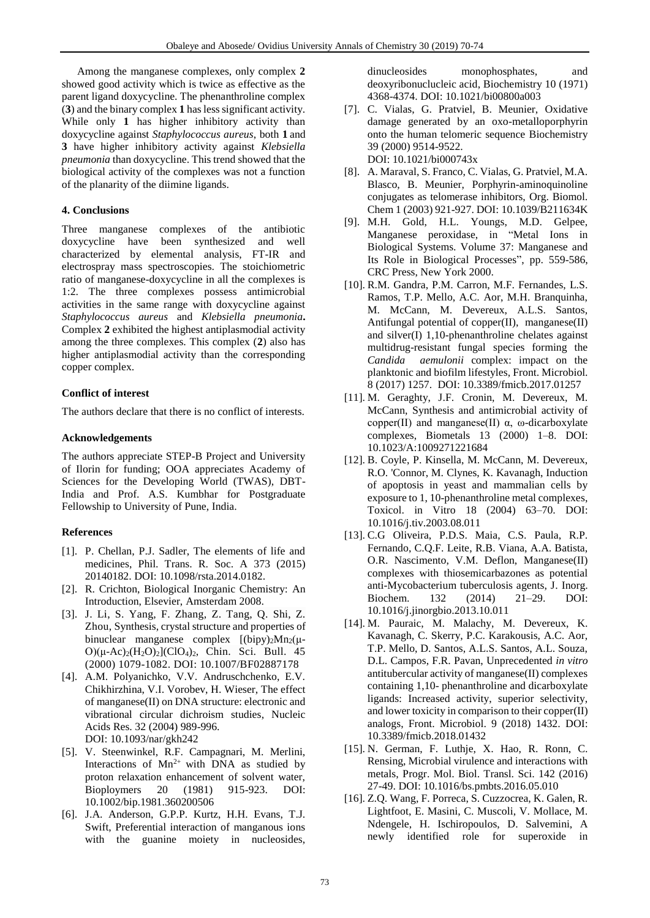Among the manganese complexes, only complex **2** showed good activity which is twice as effective as the parent ligand doxycycline. The phenanthroline complex (**3**) and the binary complex **1** has less significant activity. While only 1 has higher inhibitory activity than doxycycline against *Staphylococcus aureus*, both **1** and **3** have higher inhibitory activity against *Klebsiella pneumonia* than doxycycline. This trend showed that the biological activity of the complexes was not a function of the planarity of the diimine ligands.

## **4. Conclusions**

Three manganese complexes of the antibiotic doxycycline have been synthesized and well characterized by elemental analysis, FT-IR and electrospray mass spectroscopies. The stoichiometric ratio of manganese-doxycycline in all the complexes is 1:2. The three complexes possess antimicrobial activities in the same range with doxycycline against *Staphylococcus aureus* and *Klebsiella pneumonia***.** Complex **2** exhibited the highest antiplasmodial activity among the three complexes. This complex (**2**) also has higher antiplasmodial activity than the corresponding copper complex.

# **Conflict of interest**

The authors declare that there is no conflict of interests.

## **Acknowledgements**

The authors appreciate STEP-B Project and University of Ilorin for funding; OOA appreciates Academy of Sciences for the Developing World (TWAS), DBT-India and Prof. A.S. Kumbhar for Postgraduate Fellowship to University of Pune, India.

## **References**

- [1]. P. Chellan, P.J. Sadler, The elements of life and medicines, Phil. Trans. R. Soc. A 373 (2015) 20140182. DOI: 10.1098/rsta.2014.0182.
- [2]. R. Crichton, Biological Inorganic Chemistry: An Introduction, Elsevier, Amsterdam 2008.
- [3]. J. Li, S. Yang, F. Zhang, Z. Tang, Q. Shi, Z. Zhou, Synthesis, crystal structure and properties of binuclear manganese complex  $[(bipy)_2Mn_2(\mu-$ O)(μ-Ac)<sub>2</sub>(H<sub>2</sub>O)<sub>2</sub>](ClO<sub>4</sub>)<sub>2</sub>, Chin. Sci. Bull. 45 (2000) 1079-1082. DOI: 10.1007/BF02887178
- [4]. A.M. Polyanichko, V.V. Andruschchenko, E.V. Chikhirzhina, V.I. Vorobev, H. Wieser, The effect of manganese(II) on DNA structure: electronic and vibrational circular dichroism studies, Nucleic Acids Res. 32 (2004) 989-996. DOI: [10.1093/nar/gkh242](https://dx.doi.org/10.1093%2Fnar%2Fgkh242)
- [5]. V. Steenwinkel, R.F. Campagnari, M. Merlini, Interactions of  $Mn^{2+}$  with DNA as studied by proton relaxation enhancement of solvent water, Bioploymers 20 (1981) 915-923. DOI: 10.1002/bip.1981.360200506
- [6]. J.A. Anderson, G.P.P. Kurtz, H.H. Evans, T.J. Swift, Preferential interaction of manganous ions with the guanine moiety in nucleosides,

dinucleosides monophosphates, and deoxyribonuclucleic acid, Biochemistry 10 (1971) 4368-4374. DOI: [10.1021/bi00800a003](https://doi.org/10.1021/bi00800a003)

- [7]. C. Vialas, G. Pratviel, B. Meunier, Oxidative damage generated by an oxo-metalloporphyrin onto the human telomeric sequence Biochemistry 39 (2000) 9514-9522. [DOI: 10.1021/bi000743x](https://doi.org/10.1021/bi000743x)
- [8]. A. Maraval, S. Franco, C. Vialas, G. Pratviel, M.A. Blasco, B. Meunier, Porphyrin-aminoquinoline conjugates as telomerase inhibitors, Org. Biomol. Chem 1 (2003) 921-927. DOI: 10.1039/B211634K
- [9]. M.H. Gold, H.L. Youngs, M.D. Gelpee, Manganese peroxidase, in "Metal Ions in Biological Systems. Volume 37: Manganese and Its Role in Biological Processes", pp. 559-586, CRC Press, New York 2000.
- [10]. R.M. Gandra, P.M. Carron, M.F. Fernandes, L.S. Ramos, T.P. Mello, A.C. Aor, M.H. Branquinha, M. McCann, M. Devereux, A.L.S. Santos, Antifungal potential of copper(II), manganese(II) and silver(I) 1,10-phenanthroline chelates against multidrug-resistant fungal species forming the *Candida aemulonii* complex: impact on the planktonic and biofilm lifestyles, Front. Microbiol. 8 (2017) 1257. DOI: 10.3389/fmicb.2017.01257
- [11]. M. Geraghty, J.F. Cronin, M. Devereux, M. McCann, Synthesis and antimicrobial activity of copper(II) and manganese(II) α, ω-dicarboxylate complexes, Biometals 13 (2000) 1–8. DOI: 10.1023/A:1009271221684
- [12]. B. Coyle, P. Kinsella, M. McCann, M. Devereux, R.O. 'Connor, M. Clynes, K. Kavanagh, Induction of apoptosis in yeast and mammalian cells by exposure to 1, 10-phenanthroline metal complexes, Toxicol. in Vitro 18 (2004) 63–70. DOI: 10.1016/j.tiv.2003.08.011
- [13]. C.G Oliveira, P.D.S. Maia, C.S. Paula, R.P. Fernando, C.Q.F. Leite, R.B. Viana, A.A. Batista, O.R. Nascimento, V.M. Deflon, Manganese(II) complexes with thiosemicarbazones as potential anti-Mycobacterium tuberculosis agents, J. Inorg. Biochem. 132 (2014) 21–29. DOI: 10.1016/j.jinorgbio.2013.10.011
- [14]. M. Pauraic, M. Malachy, M. Devereux, K. Kavanagh, C. Skerry, P.C. Karakousis, A.C. Aor, T.P. Mello, D. Santos, A.L.S. Santos, A.L. Souza, D.L. Campos, F.R. Pavan, Unprecedented *in vitro* antitubercular activity of manganese(II) complexes containing 1,10- phenanthroline and dicarboxylate ligands: Increased activity, superior selectivity, and lower toxicity in comparison to their copper(II) analogs, Front. Microbiol. 9 (2018) 1432. DOI: 10.3389/fmicb.2018.01432
- [15]. N. German, F. Luthje, X. Hao, R. Ronn, C. Rensing, Microbial virulence and interactions with metals, Progr. Mol. Biol. Transl. Sci. 142 (2016) 27-49. DOI: 10.1016/bs.pmbts.2016.05.010
- [16]. Z.Q. Wang, F. Porreca, S. Cuzzocrea, K. Galen, R. Lightfoot, E. Masini, C. Muscoli, V. Mollace, M. Ndengele, H. Ischiropoulos, D. Salvemini, A newly identified role for superoxide in